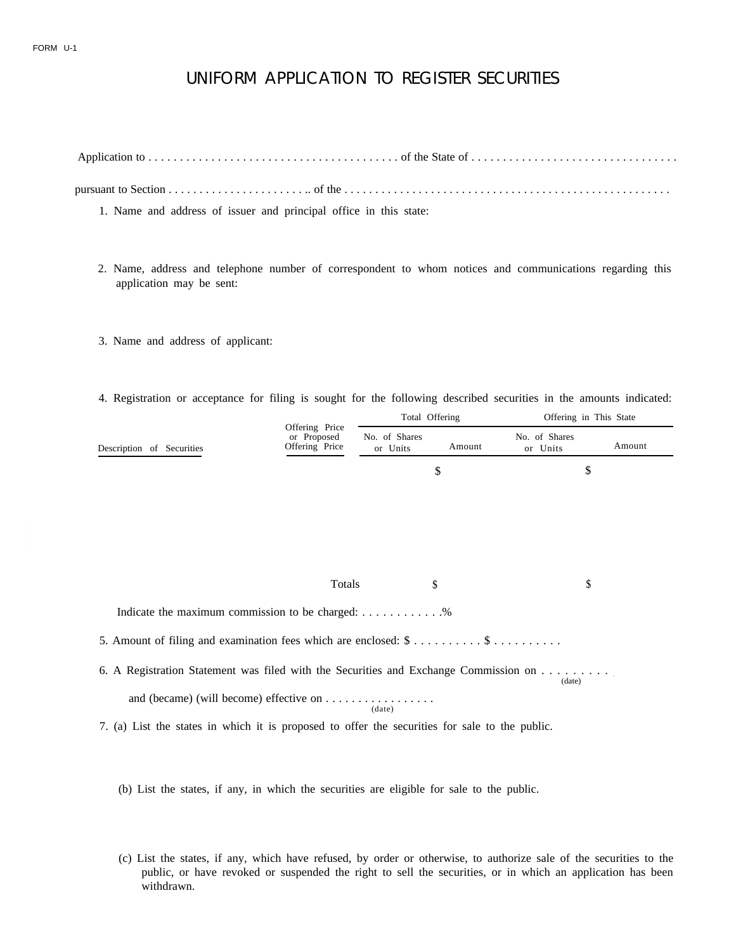## UNIFORM APPLICATION TO REGISTER SECURITIES

Application to . . . . . . . . . . . . . . . . . . . . . . . . . . . . . . . . . . . . . . . . of the State of . . . . . . . . . . . . . . . . . . . . . . . . . . . . . . . . .

pursuant to Section . . . . . . . . . . . . . . . . . . . . . . .. of the . . . . . . . . . . . . . . . . . . . . . . . . . . . . . . . . . . . . . . . . . . . . . . . . . . . . .

1. Name and address of issuer and principal office in this state:

- 2. Name, address and telephone number of correspondent to whom notices and communications regarding this application may be sent:
- 3. Name and address of applicant:

4. Registration or acceptance for filing is sought for the following described securities in the amounts indicated:

|                           | Offering Price<br>or Proposed<br>Offering Price | Total Offering            |        | Offering in This State    |        |
|---------------------------|-------------------------------------------------|---------------------------|--------|---------------------------|--------|
| Description of Securities |                                                 | No. of Shares<br>or Units | Amount | No. of Shares<br>or Units | Amount |
|                           |                                                 | S                         |        | \$                        |        |
|                           |                                                 |                           |        |                           |        |
|                           |                                                 |                           |        |                           |        |

| Totals                                                                                         |        |        |
|------------------------------------------------------------------------------------------------|--------|--------|
|                                                                                                |        |        |
|                                                                                                |        |        |
| 6. A Registration Statement was filed with the Securities and Exchange Commission on           |        | (date) |
| and (became) (will become) effective on $\dots \dots \dots \dots \dots$                        | (date) |        |
| 7. (a) List the states in which it is proposed to offer the securities for sale to the public. |        |        |

(b) List the states, if any, in which the securities are eligible for sale to the public.

(c) List the states, if any, which have refused, by order or otherwise, to authorize sale of the securities to the public, or have revoked or suspended the right to sell the securities, or in which an application has been withdrawn.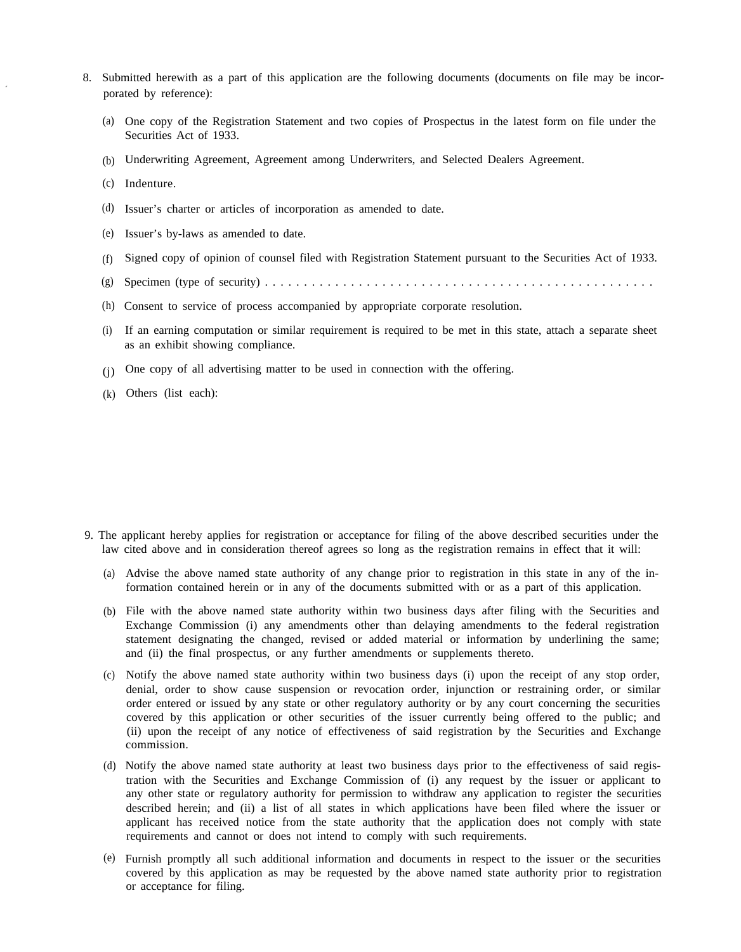- 8. Submitted herewith as a part of this application are the following documents (documents on file may be incorporated by reference):
	- (a) One copy of the Registration Statement and two copies of Prospectus in the latest form on file under the Securities Act of 1933.
	- (b) Underwriting Agreement, Agreement among Underwriters, and Selected Dealers Agreement.
	- (c) Indenture.
	- (d) Issuer's charter or articles of incorporation as amended to date.
	- (e) Issuer's by-laws as amended to date.
	- (f) Signed copy of opinion of counsel filed with Registration Statement pursuant to the Securities Act of 1933.
	- (g) Specimen (type of security) . . . . . . . . . . . . . . . . . . . . . . . . . . . . . . . . . . . . . . . . . . . . . . . . . .
	- (h) Consent to service of process accompanied by appropriate corporate resolution.
	- (i) If an earning computation or similar requirement is required to be met in this state, attach a separate sheet as an exhibit showing compliance.
	- (j) One copy of all advertising matter to be used in connection with the offering.
	- (k) Others (list each):

- 9. The applicant hereby applies for registration or acceptance for filing of the above described securities under the law cited above and in consideration thereof agrees so long as the registration remains in effect that it will:
	- (a) Advise the above named state authority of any change prior to registration in this state in any of the information contained herein or in any of the documents submitted with or as a part of this application.
	- (b) File with the above named state authority within two business days after filing with the Securities and Exchange Commission (i) any amendments other than delaying amendments to the federal registration statement designating the changed, revised or added material or information by underlining the same; and (ii) the final prospectus, or any further amendments or supplements thereto.
	- (c) Notify the above named state authority within two business days (i) upon the receipt of any stop order, denial, order to show cause suspension or revocation order, injunction or restraining order, or similar order entered or issued by any state or other regulatory authority or by any court concerning the securities covered by this application or other securities of the issuer currently being offered to the public; and (ii) upon the receipt of any notice of effectiveness of said registration by the Securities and Exchange commission.
	- (d) Notify the above named state authority at least two business days prior to the effectiveness of said registration with the Securities and Exchange Commission of (i) any request by the issuer or applicant to any other state or regulatory authority for permission to withdraw any application to register the securities described herein; and (ii) a list of all states in which applications have been filed where the issuer or applicant has received notice from the state authority that the application does not comply with state requirements and cannot or does not intend to comply with such requirements.
	- (e) Furnish promptly all such additional information and documents in respect to the issuer or the securities covered by this application as may be requested by the above named state authority prior to registration or acceptance for filing.